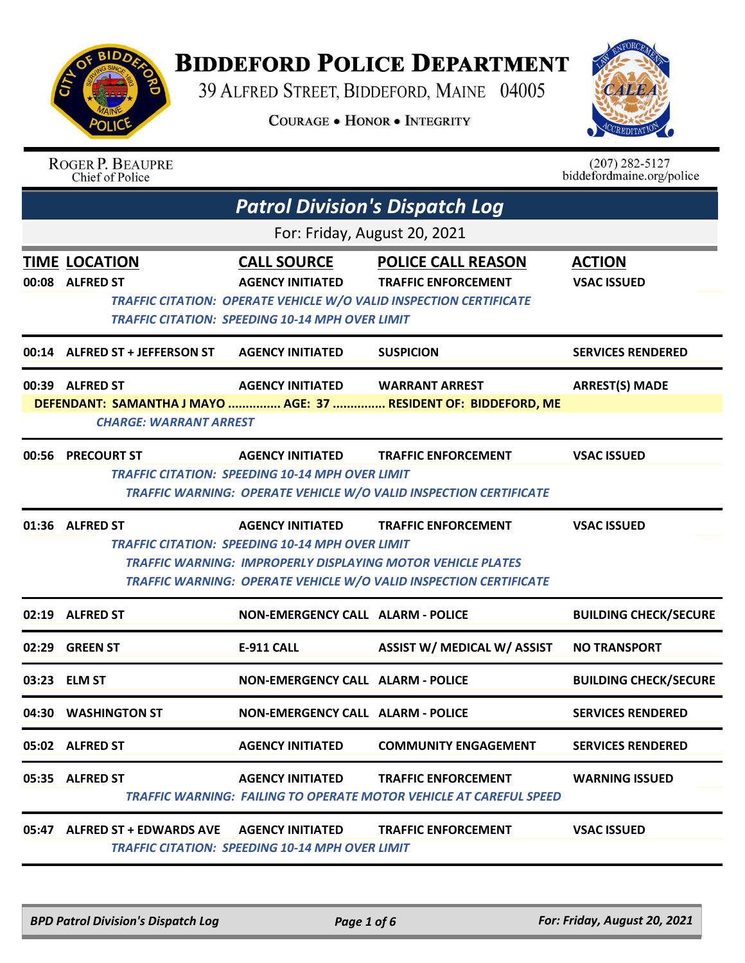

## **BIDDEFORD POLICE DEPARTMENT**

39 ALFRED STREET, BIDDEFORD, MAINE 04005

**COURAGE . HONOR . INTEGRITY** 



|       | <b>ROGER P. BEAUPRE</b><br>Chief of Police       |                                                                                                         |                                                                                                                                                                              | $(207)$ 282-5127<br>biddefordmaine.org/police |
|-------|--------------------------------------------------|---------------------------------------------------------------------------------------------------------|------------------------------------------------------------------------------------------------------------------------------------------------------------------------------|-----------------------------------------------|
|       |                                                  | <b>Patrol Division's Dispatch Log</b>                                                                   |                                                                                                                                                                              |                                               |
|       |                                                  | For: Friday, August 20, 2021                                                                            |                                                                                                                                                                              |                                               |
|       | <b>TIME LOCATION</b><br>00:08 ALFRED ST          | <b>CALL SOURCE</b><br><b>AGENCY INITIATED</b><br><b>TRAFFIC CITATION: SPEEDING 10-14 MPH OVER LIMIT</b> | <b>POLICE CALL REASON</b><br><b>TRAFFIC ENFORCEMENT</b><br><b>TRAFFIC CITATION: OPERATE VEHICLE W/O VALID INSPECTION CERTIFICATE</b>                                         | <b>ACTION</b><br><b>VSAC ISSUED</b>           |
|       | 00:14 ALFRED ST + JEFFERSON ST                   | <b>AGENCY INITIATED</b>                                                                                 | <b>SUSPICION</b>                                                                                                                                                             | <b>SERVICES RENDERED</b>                      |
|       | 00:39 ALFRED ST<br><b>CHARGE: WARRANT ARREST</b> | <b>AGENCY INITIATED</b>                                                                                 | <b>WARRANT ARREST</b><br>DEFENDANT: SAMANTHA J MAYO  AGE: 37  RESIDENT OF: BIDDEFORD, ME                                                                                     | <b>ARREST(S) MADE</b>                         |
|       | 00:56 PRECOURT ST                                | <b>AGENCY INITIATED</b><br><b>TRAFFIC CITATION: SPEEDING 10-14 MPH OVER LIMIT</b>                       | <b>TRAFFIC ENFORCEMENT</b><br>TRAFFIC WARNING: OPERATE VEHICLE W/O VALID INSPECTION CERTIFICATE                                                                              | <b>VSAC ISSUED</b>                            |
|       | 01:36 ALFRED ST                                  | <b>AGENCY INITIATED</b><br><b>TRAFFIC CITATION: SPEEDING 10-14 MPH OVER LIMIT</b>                       | <b>TRAFFIC ENFORCEMENT</b><br><b>TRAFFIC WARNING: IMPROPERLY DISPLAYING MOTOR VEHICLE PLATES</b><br><b>TRAFFIC WARNING: OPERATE VEHICLE W/O VALID INSPECTION CERTIFICATE</b> | <b>VSAC ISSUED</b>                            |
|       | 02:19 ALFRED ST                                  | <b>NON-EMERGENCY CALL ALARM - POLICE</b>                                                                |                                                                                                                                                                              | <b>BUILDING CHECK/SECURE</b>                  |
| 02:29 | <b>GREEN ST</b>                                  | <b>E-911 CALL</b>                                                                                       | ASSIST W/ MEDICAL W/ ASSIST                                                                                                                                                  | <b>NO TRANSPORT</b>                           |
|       | 03:23 ELM ST                                     | NON-EMERGENCY CALL ALARM - POLICE                                                                       |                                                                                                                                                                              | <b>BUILDING CHECK/SECURE</b>                  |
|       | 04:30 WASHINGTON ST                              | <b>NON-EMERGENCY CALL ALARM - POLICE</b>                                                                |                                                                                                                                                                              | <b>SERVICES RENDERED</b>                      |
|       | 05:02 ALFRED ST                                  | <b>AGENCY INITIATED</b>                                                                                 | <b>COMMUNITY ENGAGEMENT</b>                                                                                                                                                  | <b>SERVICES RENDERED</b>                      |
|       | 05:35 ALFRED ST                                  | <b>AGENCY INITIATED</b>                                                                                 | <b>TRAFFIC ENFORCEMENT</b><br>TRAFFIC WARNING: FAILING TO OPERATE MOTOR VEHICLE AT CAREFUL SPEED                                                                             | <b>WARNING ISSUED</b>                         |
|       | 05:47 ALFRED ST + EDWARDS AVE                    | <b>AGENCY INITIATED</b>                                                                                 | <b>TRAFFIC ENFORCEMENT</b>                                                                                                                                                   | <b>VSAC ISSUED</b>                            |

 *TRAFFIC CITATION: SPEEDING 10-14 MPH OVER LIMIT* 

*BPD Patrol Division's Dispatch Log Page 1 of 6 For: Friday, August 20, 2021*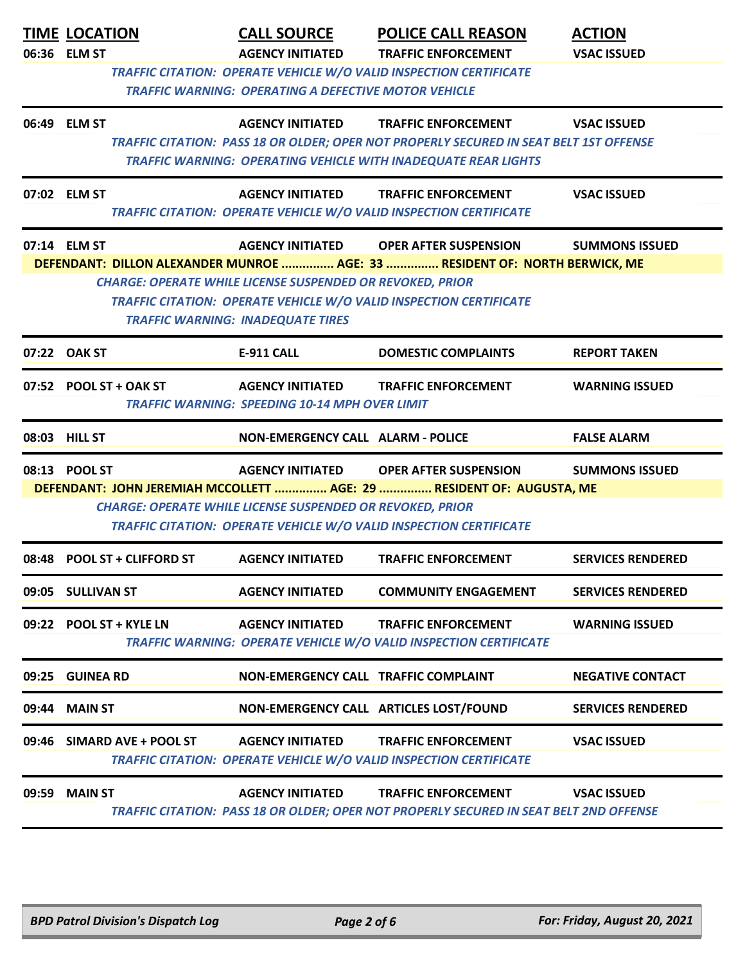|       | <b>TIME LOCATION</b><br>06:36 ELM ST | <b>CALL SOURCE</b><br><b>AGENCY INITIATED</b>                                                                | <b>POLICE CALL REASON</b><br><b>TRAFFIC ENFORCEMENT</b>                                                                                                                                                 | <b>ACTION</b><br><b>VSAC ISSUED</b> |
|-------|--------------------------------------|--------------------------------------------------------------------------------------------------------------|---------------------------------------------------------------------------------------------------------------------------------------------------------------------------------------------------------|-------------------------------------|
|       |                                      | <b>TRAFFIC WARNING: OPERATING A DEFECTIVE MOTOR VEHICLE</b>                                                  | <b>TRAFFIC CITATION: OPERATE VEHICLE W/O VALID INSPECTION CERTIFICATE</b>                                                                                                                               |                                     |
|       | 06:49 ELM ST                         |                                                                                                              | AGENCY INITIATED TRAFFIC ENFORCEMENT<br>TRAFFIC CITATION: PASS 18 OR OLDER; OPER NOT PROPERLY SECURED IN SEAT BELT 1ST OFFENSE<br><b>TRAFFIC WARNING: OPERATING VEHICLE WITH INADEQUATE REAR LIGHTS</b> | <b>VSAC ISSUED</b>                  |
|       | 07:02 ELM ST                         | <b>AGENCY INITIATED</b>                                                                                      | <b>TRAFFIC ENFORCEMENT</b><br>TRAFFIC CITATION: OPERATE VEHICLE W/O VALID INSPECTION CERTIFICATE                                                                                                        | <b>VSAC ISSUED</b>                  |
|       | 07:14 ELM ST                         | <b>CHARGE: OPERATE WHILE LICENSE SUSPENDED OR REVOKED, PRIOR</b><br><b>TRAFFIC WARNING: INADEQUATE TIRES</b> | AGENCY INITIATED OPER AFTER SUSPENSION<br>DEFENDANT: DILLON ALEXANDER MUNROE  AGE: 33  RESIDENT OF: NORTH BERWICK, ME<br>TRAFFIC CITATION: OPERATE VEHICLE W/O VALID INSPECTION CERTIFICATE             | <b>SUMMONS ISSUED</b>               |
|       | 07:22 OAK ST                         | <b>E-911 CALL</b>                                                                                            | <b>DOMESTIC COMPLAINTS</b>                                                                                                                                                                              | <b>REPORT TAKEN</b>                 |
|       | 07:52 POOL ST + OAK ST               | <b>TRAFFIC WARNING: SPEEDING 10-14 MPH OVER LIMIT</b>                                                        | AGENCY INITIATED TRAFFIC ENFORCEMENT                                                                                                                                                                    | <b>WARNING ISSUED</b>               |
|       | 08:03 HILL ST                        | NON-EMERGENCY CALL ALARM - POLICE                                                                            |                                                                                                                                                                                                         | <b>FALSE ALARM</b>                  |
|       | 08:13 POOL ST                        |                                                                                                              | AGENCY INITIATED OPER AFTER SUSPENSION SUMMONS ISSUED                                                                                                                                                   |                                     |
|       |                                      | <b>CHARGE: OPERATE WHILE LICENSE SUSPENDED OR REVOKED, PRIOR</b>                                             | DEFENDANT: JOHN JEREMIAH MCCOLLETT  AGE: 29  RESIDENT OF: AUGUSTA, ME<br>TRAFFIC CITATION: OPERATE VEHICLE W/O VALID INSPECTION CERTIFICATE                                                             |                                     |
|       | 08:48 POOL ST + CLIFFORD ST          | <b>AGENCY INITIATED</b>                                                                                      | <b>TRAFFIC ENFORCEMENT</b>                                                                                                                                                                              | <b>SERVICES RENDERED</b>            |
|       | 09:05 SULLIVAN ST                    | <b>AGENCY INITIATED</b>                                                                                      | <b>COMMUNITY ENGAGEMENT</b>                                                                                                                                                                             | <b>SERVICES RENDERED</b>            |
|       | 09:22 POOL ST + KYLE LN              | <b>AGENCY INITIATED</b>                                                                                      | <b>TRAFFIC ENFORCEMENT</b><br>TRAFFIC WARNING: OPERATE VEHICLE W/O VALID INSPECTION CERTIFICATE                                                                                                         | <b>WARNING ISSUED</b>               |
|       | 09:25 GUINEA RD                      | <b>NON-EMERGENCY CALL TRAFFIC COMPLAINT</b>                                                                  |                                                                                                                                                                                                         | <b>NEGATIVE CONTACT</b>             |
|       | 09:44 MAIN ST                        |                                                                                                              | NON-EMERGENCY CALL ARTICLES LOST/FOUND                                                                                                                                                                  | <b>SERVICES RENDERED</b>            |
| 09:46 | SIMARD AVE + POOL ST                 | <b>AGENCY INITIATED</b>                                                                                      | <b>TRAFFIC ENFORCEMENT</b><br><b>TRAFFIC CITATION: OPERATE VEHICLE W/O VALID INSPECTION CERTIFICATE</b>                                                                                                 | <b>VSAC ISSUED</b>                  |
| 09:59 | <b>MAIN ST</b>                       | <b>AGENCY INITIATED</b>                                                                                      | <b>TRAFFIC ENFORCEMENT</b><br>TRAFFIC CITATION: PASS 18 OR OLDER; OPER NOT PROPERLY SECURED IN SEAT BELT 2ND OFFENSE                                                                                    | <b>VSAC ISSUED</b>                  |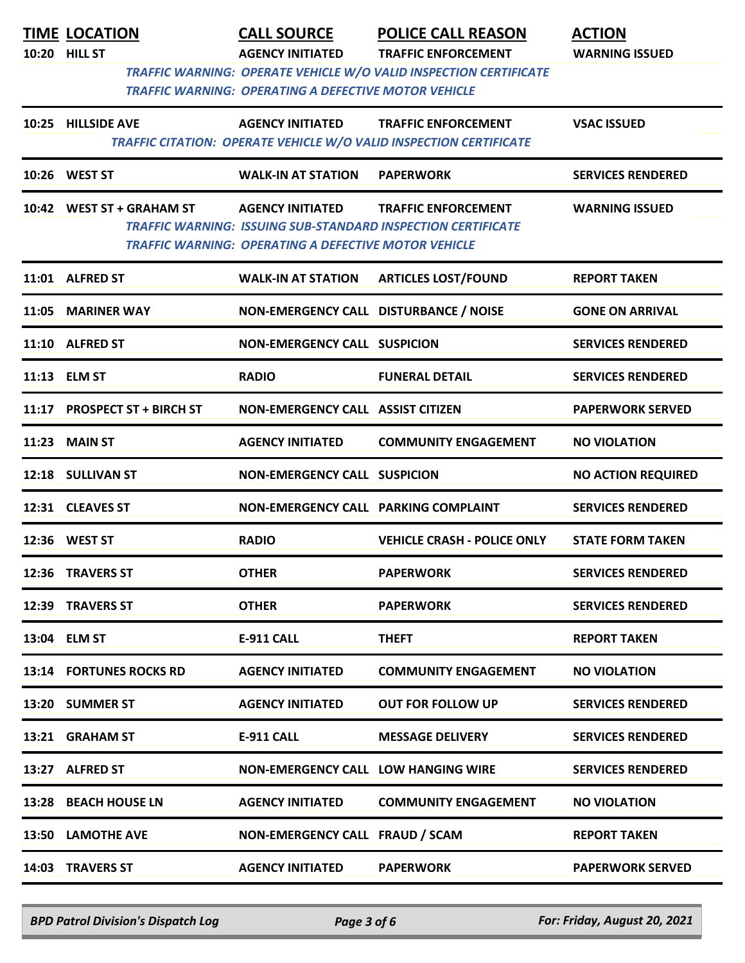| <b>TIME LOCATION</b>         | <b>CALL SOURCE</b>                                          | <b>POLICE CALL REASON</b>                                                                              | <b>ACTION</b>             |
|------------------------------|-------------------------------------------------------------|--------------------------------------------------------------------------------------------------------|---------------------------|
| 10:20 HILL ST                | <b>AGENCY INITIATED</b>                                     | <b>TRAFFIC ENFORCEMENT</b><br><b>TRAFFIC WARNING: OPERATE VEHICLE W/O VALID INSPECTION CERTIFICATE</b> | <b>WARNING ISSUED</b>     |
|                              | <b>TRAFFIC WARNING: OPERATING A DEFECTIVE MOTOR VEHICLE</b> |                                                                                                        |                           |
| 10:25 HILLSIDE AVE           | <b>AGENCY INITIATED</b>                                     | <b>TRAFFIC ENFORCEMENT</b>                                                                             | <b>VSAC ISSUED</b>        |
|                              |                                                             | TRAFFIC CITATION: OPERATE VEHICLE W/O VALID INSPECTION CERTIFICATE                                     |                           |
| 10:26 WEST ST                | <b>WALK-IN AT STATION</b>                                   | <b>PAPERWORK</b>                                                                                       | <b>SERVICES RENDERED</b>  |
| 10:42 WEST ST + GRAHAM ST    | <b>AGENCY INITIATED</b>                                     | <b>TRAFFIC ENFORCEMENT</b>                                                                             | <b>WARNING ISSUED</b>     |
|                              | <b>TRAFFIC WARNING: OPERATING A DEFECTIVE MOTOR VEHICLE</b> | <b>TRAFFIC WARNING: ISSUING SUB-STANDARD INSPECTION CERTIFICATE</b>                                    |                           |
|                              |                                                             |                                                                                                        |                           |
| 11:01 ALFRED ST              | <b>WALK-IN AT STATION</b>                                   | <b>ARTICLES LOST/FOUND</b>                                                                             | <b>REPORT TAKEN</b>       |
| 11:05 MARINER WAY            | NON-EMERGENCY CALL DISTURBANCE / NOISE                      |                                                                                                        | <b>GONE ON ARRIVAL</b>    |
| 11:10 ALFRED ST              | <b>NON-EMERGENCY CALL SUSPICION</b>                         |                                                                                                        | <b>SERVICES RENDERED</b>  |
| 11:13 ELM ST                 | <b>RADIO</b>                                                | <b>FUNERAL DETAIL</b>                                                                                  | <b>SERVICES RENDERED</b>  |
| 11:17 PROSPECT ST + BIRCH ST | <b>NON-EMERGENCY CALL ASSIST CITIZEN</b>                    |                                                                                                        | <b>PAPERWORK SERVED</b>   |
| <b>11:23 MAIN ST</b>         | <b>AGENCY INITIATED</b>                                     | <b>COMMUNITY ENGAGEMENT</b>                                                                            | <b>NO VIOLATION</b>       |
| 12:18 SULLIVAN ST            | <b>NON-EMERGENCY CALL SUSPICION</b>                         |                                                                                                        | <b>NO ACTION REQUIRED</b> |
| 12:31 CLEAVES ST             | <b>NON-EMERGENCY CALL PARKING COMPLAINT</b>                 |                                                                                                        | <b>SERVICES RENDERED</b>  |
| 12:36 WEST ST                | <b>RADIO</b>                                                | <b>VEHICLE CRASH - POLICE ONLY</b>                                                                     | <b>STATE FORM TAKEN</b>   |
| 12:36 TRAVERS ST             | <b>OTHER</b>                                                | <b>PAPERWORK</b>                                                                                       | <b>SERVICES RENDERED</b>  |
| 12:39 TRAVERS ST             | <b>OTHER</b>                                                | <b>PAPERWORK</b>                                                                                       | <b>SERVICES RENDERED</b>  |
| 13:04 ELM ST                 | <b>E-911 CALL</b>                                           | <b>THEFT</b>                                                                                           | <b>REPORT TAKEN</b>       |
| 13:14 FORTUNES ROCKS RD      | <b>AGENCY INITIATED</b>                                     | <b>COMMUNITY ENGAGEMENT</b>                                                                            | <b>NO VIOLATION</b>       |
| 13:20 SUMMER ST              | <b>AGENCY INITIATED</b>                                     | <b>OUT FOR FOLLOW UP</b>                                                                               | <b>SERVICES RENDERED</b>  |
| 13:21 GRAHAM ST              | <b>E-911 CALL</b>                                           | <b>MESSAGE DELIVERY</b>                                                                                | <b>SERVICES RENDERED</b>  |
| 13:27 ALFRED ST              | <b>NON-EMERGENCY CALL LOW HANGING WIRE</b>                  |                                                                                                        | <b>SERVICES RENDERED</b>  |
| 13:28 BEACH HOUSE LN         | <b>AGENCY INITIATED</b>                                     | <b>COMMUNITY ENGAGEMENT</b>                                                                            | <b>NO VIOLATION</b>       |
| 13:50 LAMOTHE AVE            | NON-EMERGENCY CALL FRAUD / SCAM                             |                                                                                                        | <b>REPORT TAKEN</b>       |
| 14:03 TRAVERS ST             | <b>AGENCY INITIATED</b>                                     | <b>PAPERWORK</b>                                                                                       | <b>PAPERWORK SERVED</b>   |

*BPD Patrol Division's Dispatch Log Page 3 of 6 For: Friday, August 20, 2021*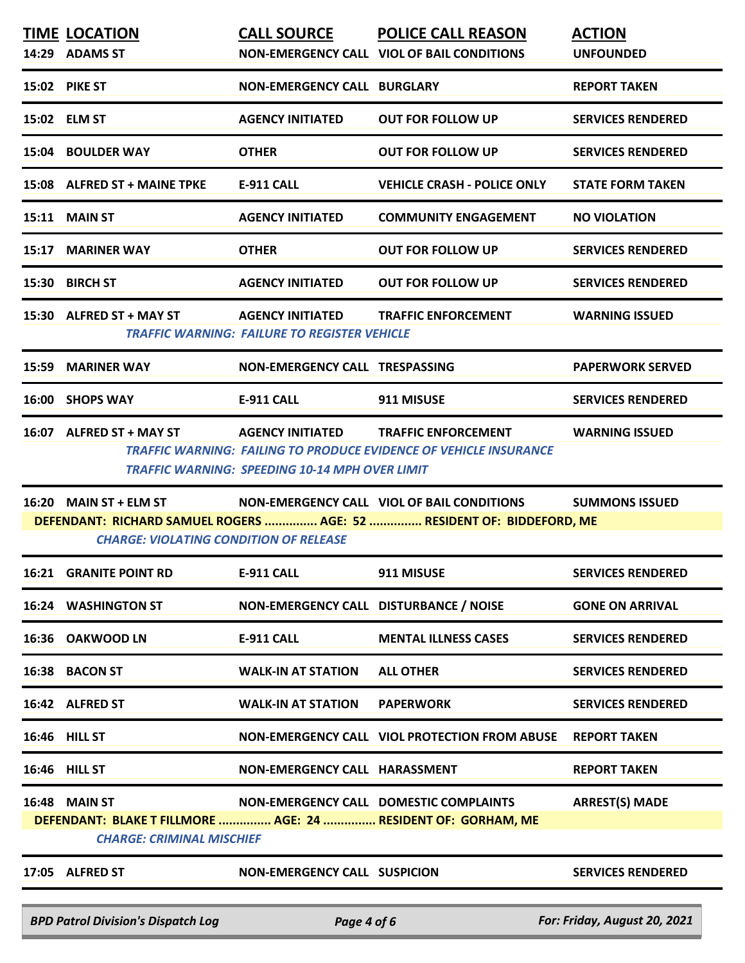| <b>TIME LOCATION</b><br>14:29 ADAMS ST                                                                                            | <b>CALL SOURCE</b>                                                             | <b>POLICE CALL REASON</b><br><b>NON-EMERGENCY CALL VIOL OF BAIL CONDITIONS</b>                         | <b>ACTION</b><br><b>UNFOUNDED</b> |
|-----------------------------------------------------------------------------------------------------------------------------------|--------------------------------------------------------------------------------|--------------------------------------------------------------------------------------------------------|-----------------------------------|
| 15:02 PIKE ST                                                                                                                     | <b>NON-EMERGENCY CALL BURGLARY</b>                                             |                                                                                                        | <b>REPORT TAKEN</b>               |
| 15:02 ELM ST                                                                                                                      | <b>AGENCY INITIATED</b>                                                        | <b>OUT FOR FOLLOW UP</b>                                                                               | <b>SERVICES RENDERED</b>          |
| 15:04 BOULDER WAY                                                                                                                 | <b>OTHER</b>                                                                   | <b>OUT FOR FOLLOW UP</b>                                                                               | <b>SERVICES RENDERED</b>          |
| 15:08 ALFRED ST + MAINE TPKE                                                                                                      | <b>E-911 CALL</b>                                                              | <b>VEHICLE CRASH - POLICE ONLY</b>                                                                     | <b>STATE FORM TAKEN</b>           |
| 15:11 MAIN ST                                                                                                                     | <b>AGENCY INITIATED</b>                                                        | <b>COMMUNITY ENGAGEMENT</b>                                                                            | <b>NO VIOLATION</b>               |
| 15:17 MARINER WAY                                                                                                                 | <b>OTHER</b>                                                                   | <b>OUT FOR FOLLOW UP</b>                                                                               | <b>SERVICES RENDERED</b>          |
| 15:30 BIRCH ST                                                                                                                    | <b>AGENCY INITIATED</b>                                                        | <b>OUT FOR FOLLOW UP</b>                                                                               | <b>SERVICES RENDERED</b>          |
| 15:30 ALFRED ST + MAY ST                                                                                                          | <b>AGENCY INITIATED</b><br><b>TRAFFIC WARNING: FAILURE TO REGISTER VEHICLE</b> | <b>TRAFFIC ENFORCEMENT</b>                                                                             | <b>WARNING ISSUED</b>             |
| 15:59 MARINER WAY                                                                                                                 | NON-EMERGENCY CALL TRESPASSING                                                 |                                                                                                        | <b>PAPERWORK SERVED</b>           |
| 16:00 SHOPS WAY                                                                                                                   | <b>E-911 CALL</b>                                                              | 911 MISUSE                                                                                             | <b>SERVICES RENDERED</b>          |
| 16:07 ALFRED ST + MAY ST AGENCY INITIATED                                                                                         | TRAFFIC WARNING: SPEEDING 10-14 MPH OVER LIMIT                                 | <b>TRAFFIC ENFORCEMENT</b><br><b>TRAFFIC WARNING: FAILING TO PRODUCE EVIDENCE OF VEHICLE INSURANCE</b> | <b>WARNING ISSUED</b>             |
|                                                                                                                                   |                                                                                |                                                                                                        |                                   |
| 16:20 MAIN ST + ELM ST NON-EMERGENCY CALL VIOL OF BAIL CONDITIONS SUMMONS ISSUED<br><b>CHARGE: VIOLATING CONDITION OF RELEASE</b> |                                                                                | DEFENDANT: RICHARD SAMUEL ROGERS  AGE: 52  RESIDENT OF: BIDDEFORD, ME                                  |                                   |
| <b>16:21 GRANITE POINT RD</b>                                                                                                     | <b>E-911 CALL</b>                                                              | 911 MISUSE                                                                                             | <b>SERVICES RENDERED</b>          |
| <b>16:24 WASHINGTON ST</b>                                                                                                        | NON-EMERGENCY CALL DISTURBANCE / NOISE                                         |                                                                                                        | <b>GONE ON ARRIVAL</b>            |
| 16:36 OAKWOOD LN                                                                                                                  | <b>E-911 CALL</b>                                                              | <b>MENTAL ILLNESS CASES</b>                                                                            | <b>SERVICES RENDERED</b>          |
| 16:38 BACON ST                                                                                                                    | <b>WALK-IN AT STATION</b>                                                      | <b>ALL OTHER</b>                                                                                       | <b>SERVICES RENDERED</b>          |
| 16:42 ALFRED ST                                                                                                                   | <b>WALK-IN AT STATION</b>                                                      | <b>PAPERWORK</b>                                                                                       | <b>SERVICES RENDERED</b>          |
| 16:46 HILL ST                                                                                                                     |                                                                                | NON-EMERGENCY CALL VIOL PROTECTION FROM ABUSE                                                          | <b>REPORT TAKEN</b>               |
| 16:46 HILL ST                                                                                                                     | <b>NON-EMERGENCY CALL HARASSMENT</b>                                           |                                                                                                        | <b>REPORT TAKEN</b>               |
| <b>16:48 MAIN ST</b><br>DEFENDANT: BLAKE T FILLMORE  AGE: 24  RESIDENT OF: GORHAM, ME<br><b>CHARGE: CRIMINAL MISCHIEF</b>         |                                                                                | NON-EMERGENCY CALL DOMESTIC COMPLAINTS                                                                 | <b>ARREST(S) MADE</b>             |
| 17:05 ALFRED ST                                                                                                                   | <b>NON-EMERGENCY CALL SUSPICION</b>                                            |                                                                                                        | <b>SERVICES RENDERED</b>          |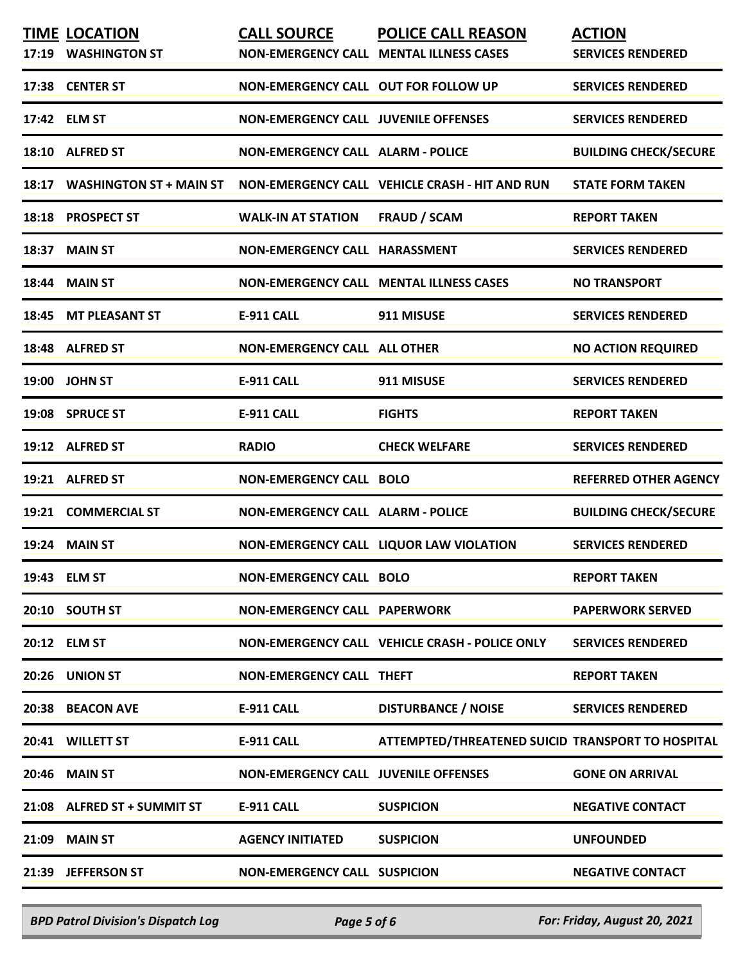|       | <b>TIME LOCATION</b><br>17:19 WASHINGTON ST | <b>CALL SOURCE</b>                          | <b>POLICE CALL REASON</b><br>NON-EMERGENCY CALL MENTAL ILLNESS CASES | <b>ACTION</b><br><b>SERVICES RENDERED</b> |
|-------|---------------------------------------------|---------------------------------------------|----------------------------------------------------------------------|-------------------------------------------|
|       | 17:38 CENTER ST                             | NON-EMERGENCY CALL OUT FOR FOLLOW UP        |                                                                      | <b>SERVICES RENDERED</b>                  |
|       | 17:42 ELM ST                                | <b>NON-EMERGENCY CALL JUVENILE OFFENSES</b> |                                                                      | <b>SERVICES RENDERED</b>                  |
|       | 18:10 ALFRED ST                             | <b>NON-EMERGENCY CALL ALARM - POLICE</b>    |                                                                      | <b>BUILDING CHECK/SECURE</b>              |
| 18:17 | <b>WASHINGTON ST + MAIN ST</b>              |                                             | NON-EMERGENCY CALL VEHICLE CRASH - HIT AND RUN                       | <b>STATE FORM TAKEN</b>                   |
|       | 18:18 PROSPECT ST                           | <b>WALK-IN AT STATION</b>                   | <b>FRAUD / SCAM</b>                                                  | <b>REPORT TAKEN</b>                       |
|       | 18:37 MAIN ST                               | NON-EMERGENCY CALL HARASSMENT               |                                                                      | <b>SERVICES RENDERED</b>                  |
|       | <b>18:44 MAIN ST</b>                        |                                             | <b>NON-EMERGENCY CALL MENTAL ILLNESS CASES</b>                       | <b>NO TRANSPORT</b>                       |
|       | 18:45 MT PLEASANT ST                        | <b>E-911 CALL</b>                           | 911 MISUSE                                                           | <b>SERVICES RENDERED</b>                  |
|       | 18:48 ALFRED ST                             | <b>NON-EMERGENCY CALL ALL OTHER</b>         |                                                                      | <b>NO ACTION REQUIRED</b>                 |
|       | 19:00 JOHN ST                               | <b>E-911 CALL</b>                           | 911 MISUSE                                                           | <b>SERVICES RENDERED</b>                  |
|       | 19:08 SPRUCE ST                             | <b>E-911 CALL</b>                           | <b>FIGHTS</b>                                                        | <b>REPORT TAKEN</b>                       |
|       | 19:12 ALFRED ST                             | <b>RADIO</b>                                | <b>CHECK WELFARE</b>                                                 | <b>SERVICES RENDERED</b>                  |
|       | 19:21 ALFRED ST                             | <b>NON-EMERGENCY CALL BOLO</b>              |                                                                      | <b>REFERRED OTHER AGENCY</b>              |
|       | 19:21 COMMERCIAL ST                         | NON-EMERGENCY CALL ALARM - POLICE           |                                                                      | <b>BUILDING CHECK/SECURE</b>              |
|       | <b>19:24 MAIN ST</b>                        |                                             | NON-EMERGENCY CALL LIQUOR LAW VIOLATION                              | <b>SERVICES RENDERED</b>                  |
|       | 19:43 ELM ST                                | <b>NON-EMERGENCY CALL BOLO</b>              |                                                                      | <b>REPORT TAKEN</b>                       |
|       | 20:10 SOUTH ST                              | <b>NON-EMERGENCY CALL PAPERWORK</b>         |                                                                      | <b>PAPERWORK SERVED</b>                   |
|       | 20:12 ELM ST                                |                                             | NON-EMERGENCY CALL VEHICLE CRASH - POLICE ONLY                       | <b>SERVICES RENDERED</b>                  |
|       | 20:26 UNION ST                              | <b>NON-EMERGENCY CALL THEFT</b>             |                                                                      | <b>REPORT TAKEN</b>                       |
|       | 20:38 BEACON AVE                            | <b>E-911 CALL</b>                           | <b>DISTURBANCE / NOISE</b>                                           | <b>SERVICES RENDERED</b>                  |
|       | 20:41 WILLETT ST                            | <b>E-911 CALL</b>                           | ATTEMPTED/THREATENED SUICID TRANSPORT TO HOSPITAL                    |                                           |
|       | <b>20:46 MAIN ST</b>                        | <b>NON-EMERGENCY CALL JUVENILE OFFENSES</b> |                                                                      | <b>GONE ON ARRIVAL</b>                    |
|       | 21:08 ALFRED ST + SUMMIT ST                 | E-911 CALL                                  | <b>SUSPICION</b>                                                     | <b>NEGATIVE CONTACT</b>                   |
|       | 21:09 MAIN ST                               | <b>AGENCY INITIATED</b>                     | <b>SUSPICION</b>                                                     | <b>UNFOUNDED</b>                          |
|       | 21:39 JEFFERSON ST                          | <b>NON-EMERGENCY CALL SUSPICION</b>         |                                                                      | <b>NEGATIVE CONTACT</b>                   |
|       |                                             |                                             |                                                                      |                                           |

*BPD Patrol Division's Dispatch Log Page 5 of 6 For: Friday, August 20, 2021*